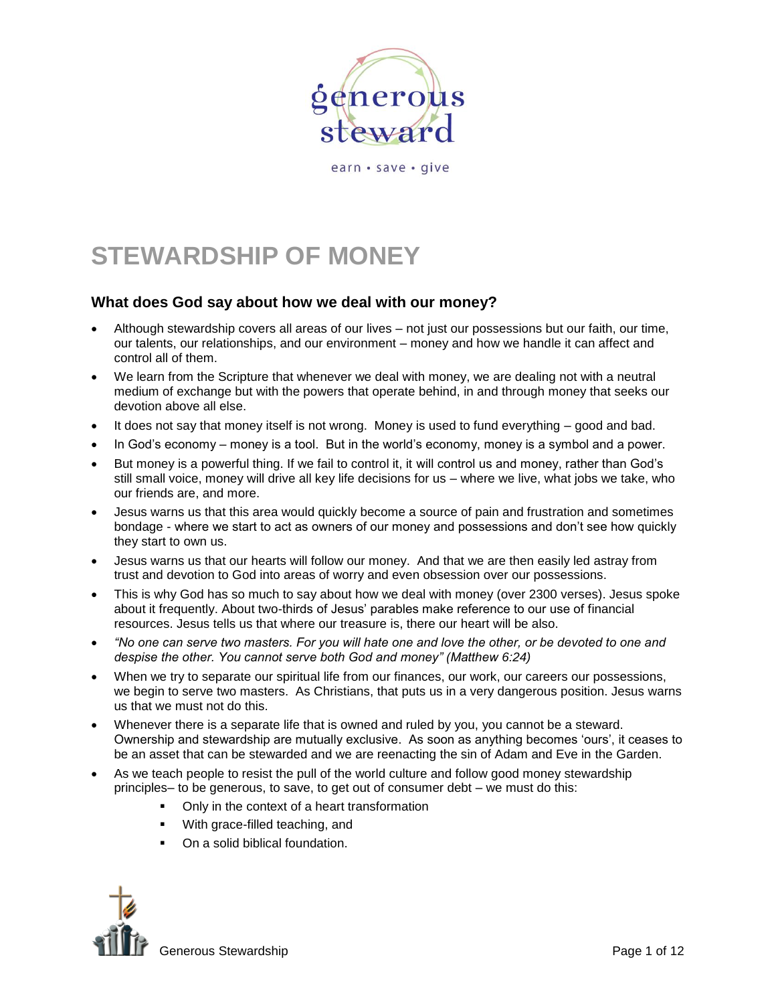

earn · save · give

# **STEWARDSHIP OF MONEY**

# **What does God say about how we deal with our money?**

- Although stewardship covers all areas of our lives not just our possessions but our faith, our time, our talents, our relationships, and our environment – money and how we handle it can affect and control all of them.
- We learn from the Scripture that whenever we deal with money, we are dealing not with a neutral medium of exchange but with the powers that operate behind, in and through money that seeks our devotion above all else.
- It does not say that money itself is not wrong. Money is used to fund everything good and bad.
- In God's economy money is a tool. But in the world's economy, money is a symbol and a power.
- But money is a powerful thing. If we fail to control it, it will control us and money, rather than God's still small voice, money will drive all key life decisions for us – where we live, what jobs we take, who our friends are, and more.
- Jesus warns us that this area would quickly become a source of pain and frustration and sometimes bondage - where we start to act as owners of our money and possessions and don't see how quickly they start to own us.
- Jesus warns us that our hearts will follow our money. And that we are then easily led astray from trust and devotion to God into areas of worry and even obsession over our possessions.
- This is why God has so much to say about how we deal with money (over 2300 verses). Jesus spoke about it frequently. About two-thirds of Jesus' parables make reference to our use of financial resources. Jesus tells us that where our treasure is, there our heart will be also.
- *"No one can serve two masters. For you will hate one and love the other, or be devoted to one and despise the other. You cannot serve both God and money" (Matthew 6:24)*
- When we try to separate our spiritual life from our finances, our work, our careers our possessions, we begin to serve two masters. As Christians, that puts us in a very dangerous position. Jesus warns us that we must not do this.
- Whenever there is a separate life that is owned and ruled by you, you cannot be a steward. Ownership and stewardship are mutually exclusive. As soon as anything becomes 'ours', it ceases to be an asset that can be stewarded and we are reenacting the sin of Adam and Eve in the Garden.
- As we teach people to resist the pull of the world culture and follow good money stewardship principles– to be generous, to save, to get out of consumer debt – we must do this:
	- Only in the context of a heart transformation
	- **With grace-filled teaching, and**
	- On a solid biblical foundation.

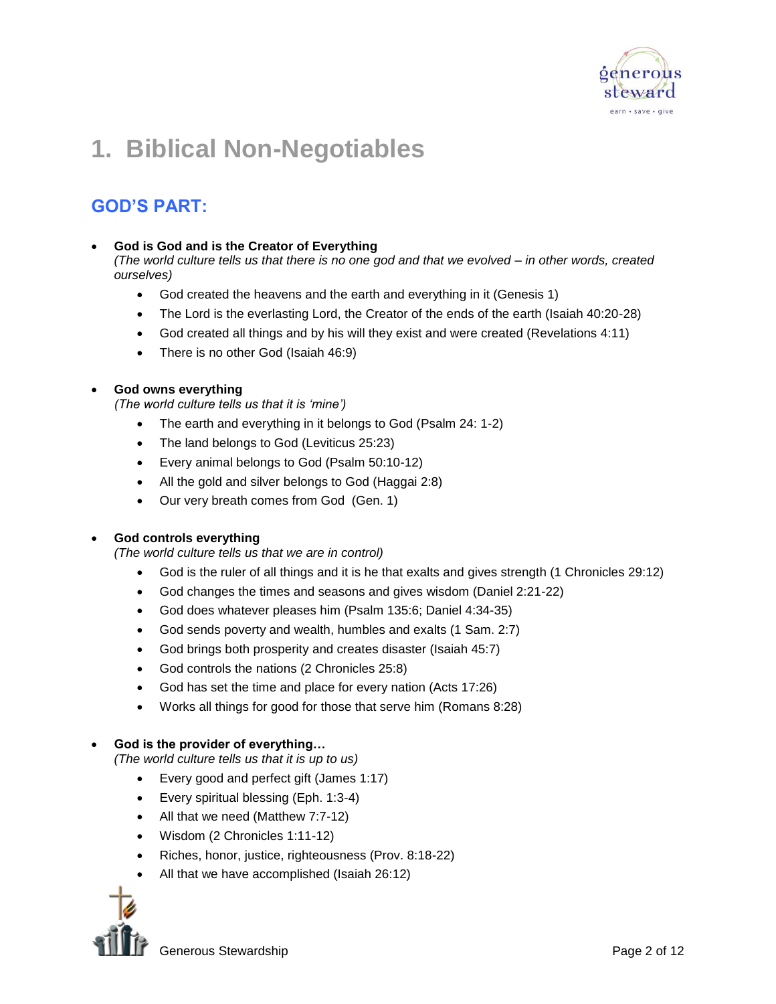

# **1. Biblical Non-Negotiables**

# **GOD'S PART:**

# **God is God and is the Creator of Everything**

*(The world culture tells us that there is no one god and that we evolved – in other words, created ourselves)*

- God created the heavens and the earth and everything in it (Genesis 1)
- The Lord is the everlasting Lord, the Creator of the ends of the earth (Isaiah 40:20-28)
- God created all things and by his will they exist and were created (Revelations 4:11)
- There is no other God (Isaiah 46:9)

# **God owns everything**

*(The world culture tells us that it is 'mine')*

- The earth and everything in it belongs to God (Psalm 24: 1-2)
- The land belongs to God (Leviticus 25:23)
- Every animal belongs to God (Psalm 50:10-12)
- All the gold and silver belongs to God (Haggai 2:8)
- Our very breath comes from God (Gen. 1)

# **God controls everything**

*(The world culture tells us that we are in control)*

- God is the ruler of all things and it is he that exalts and gives strength (1 Chronicles 29:12)
- God changes the times and seasons and gives wisdom (Daniel 2:21-22)
- God does whatever pleases him (Psalm 135:6; Daniel 4:34-35)
- God sends poverty and wealth, humbles and exalts (1 Sam. 2:7)
- God brings both prosperity and creates disaster (Isaiah 45:7)
- God controls the nations (2 Chronicles 25:8)
- God has set the time and place for every nation (Acts 17:26)
- Works all things for good for those that serve him (Romans 8:28)

# **God is the provider of everything…**

*(The world culture tells us that it is up to us)*

- Every good and perfect gift (James 1:17)
- Every spiritual blessing (Eph. 1:3-4)
- All that we need (Matthew 7:7-12)
- Wisdom (2 Chronicles 1:11-12)
- Riches, honor, justice, righteousness (Prov. 8:18-22)
- All that we have accomplished (Isaiah 26:12)

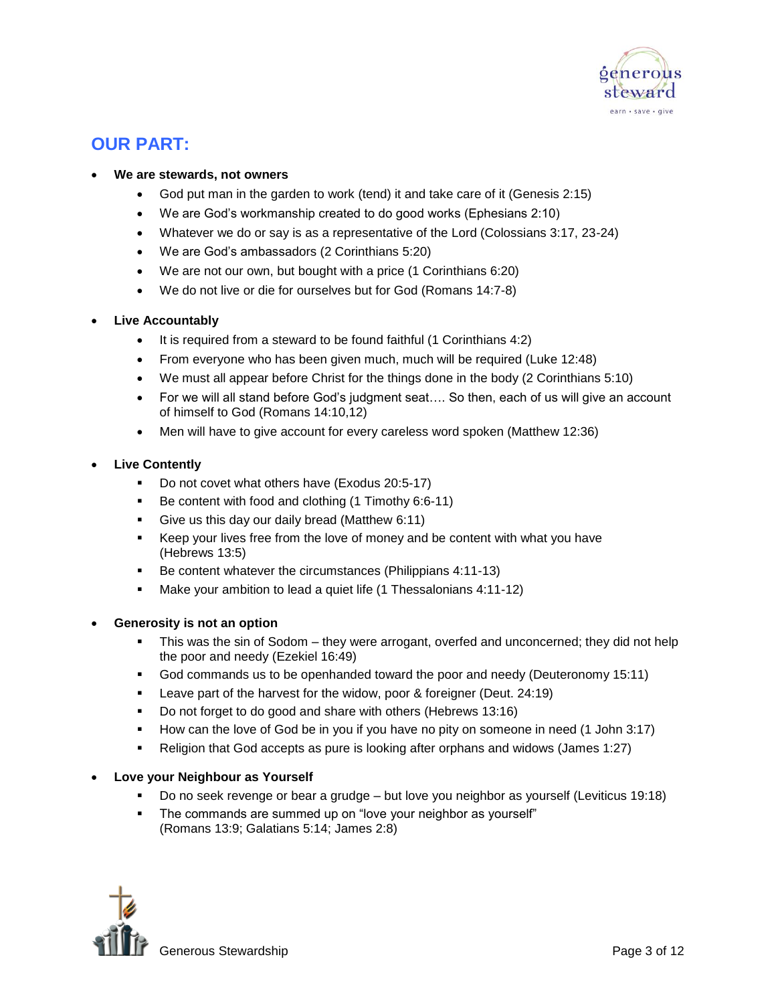

# **OUR PART:**

### **We are stewards, not owners**

- God put man in the garden to work (tend) it and take care of it (Genesis 2:15)
- We are God's workmanship created to do good works (Ephesians 2:10)
- Whatever we do or say is as a representative of the Lord (Colossians 3:17, 23-24)
- We are God's ambassadors (2 Corinthians 5:20)
- We are not our own, but bought with a price (1 Corinthians 6:20)
- We do not live or die for ourselves but for God (Romans 14:7-8)

# **Live Accountably**

- It is required from a steward to be found faithful (1 Corinthians 4:2)
- From everyone who has been given much, much will be required (Luke 12:48)
- We must all appear before Christ for the things done in the body (2 Corinthians 5:10)
- For we will all stand before God's judgment seat…. So then, each of us will give an account of himself to God (Romans 14:10,12)
- Men will have to give account for every careless word spoken (Matthew 12:36)

# **Live Contently**

- Do not covet what others have (Exodus 20:5-17)
- Be content with food and clothing (1 Timothy 6:6-11)
- Give us this day our daily bread (Matthew 6:11)
- Keep your lives free from the love of money and be content with what you have (Hebrews 13:5)
- Be content whatever the circumstances (Philippians 4:11-13)
- Make your ambition to lead a quiet life (1 Thessalonians 4:11-12)

# **Generosity is not an option**

- This was the sin of Sodom they were arrogant, overfed and unconcerned; they did not help the poor and needy (Ezekiel 16:49)
- God commands us to be openhanded toward the poor and needy (Deuteronomy 15:11)
- Leave part of the harvest for the widow, poor & foreigner (Deut. 24:19)
- Do not forget to do good and share with others (Hebrews 13:16)
- How can the love of God be in you if you have no pity on someone in need (1 John 3:17)
- Religion that God accepts as pure is looking after orphans and widows (James 1:27)

# **Love your Neighbour as Yourself**

- Do no seek revenge or bear a grudge but love you neighbor as yourself (Leviticus 19:18)
- The commands are summed up on "love your neighbor as yourself" (Romans 13:9; Galatians 5:14; James 2:8)

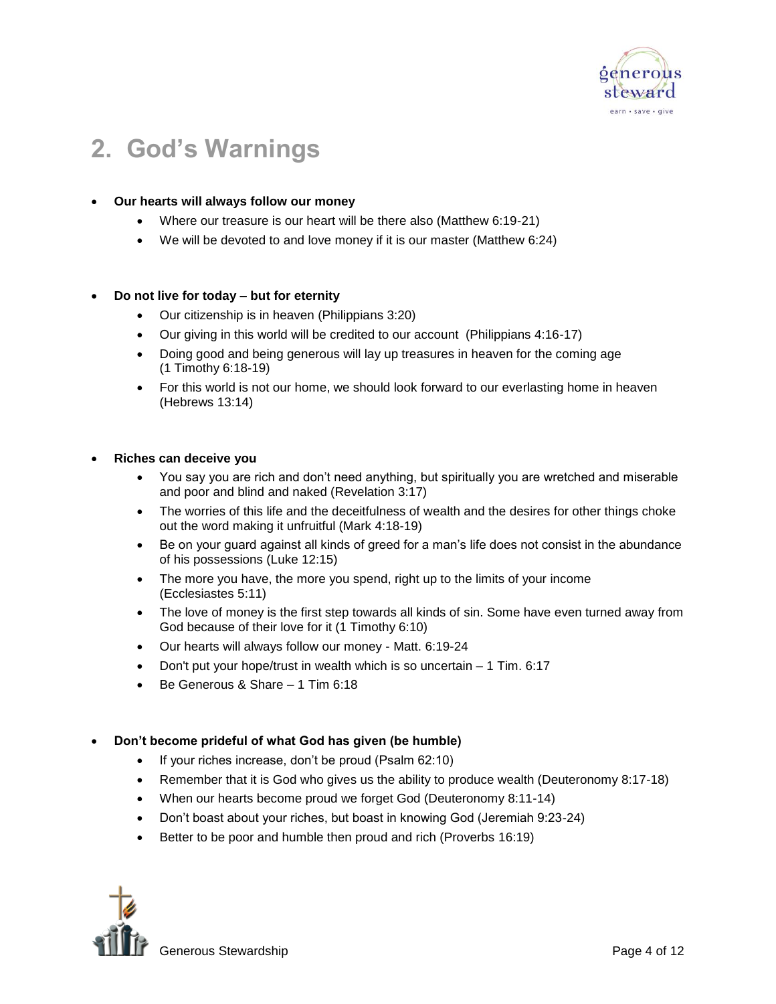

# **2. God's Warnings**

# **Our hearts will always follow our money**

- Where our treasure is our heart will be there also (Matthew 6:19-21)
- We will be devoted to and love money if it is our master (Matthew 6:24)

# **Do not live for today – but for eternity**

- Our citizenship is in heaven (Philippians 3:20)
- Our giving in this world will be credited to our account (Philippians 4:16-17)
- Doing good and being generous will lay up treasures in heaven for the coming age (1 Timothy 6:18-19)
- For this world is not our home, we should look forward to our everlasting home in heaven (Hebrews 13:14)

# **Riches can deceive you**

- You say you are rich and don't need anything, but spiritually you are wretched and miserable and poor and blind and naked (Revelation 3:17)
- The worries of this life and the deceitfulness of wealth and the desires for other things choke out the word making it unfruitful (Mark 4:18-19)
- Be on your guard against all kinds of greed for a man's life does not consist in the abundance of his possessions (Luke 12:15)
- The more you have, the more you spend, right up to the limits of your income (Ecclesiastes 5:11)
- The love of money is the first step towards all kinds of sin. Some have even turned away from God because of their love for it (1 Timothy 6:10)
- Our hearts will always follow our money Matt. 6:19-24
- $\bullet$  Don't put your hope/trust in wealth which is so uncertain  $-1$  Tim. 6:17
- Be Generous & Share 1 Tim 6:18

# **Don't become prideful of what God has given (be humble)**

- If your riches increase, don't be proud (Psalm 62:10)
- Remember that it is God who gives us the ability to produce wealth (Deuteronomy 8:17-18)
- When our hearts become proud we forget God (Deuteronomy 8:11-14)
- Don't boast about your riches, but boast in knowing God (Jeremiah 9:23-24)
- Better to be poor and humble then proud and rich (Proverbs 16:19)

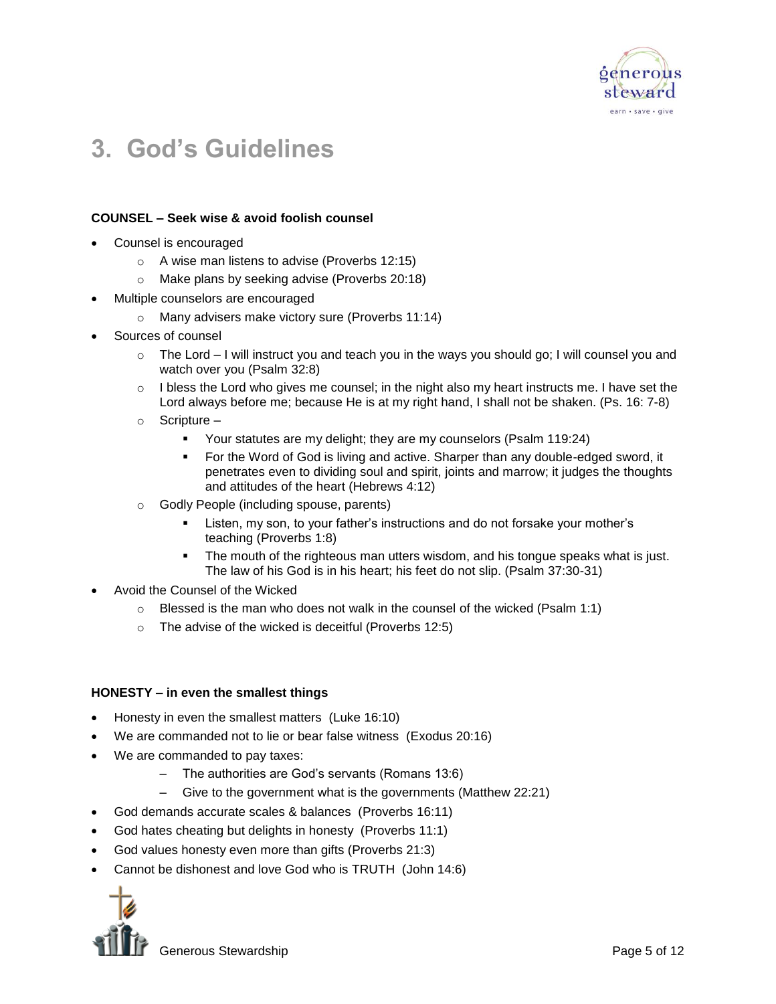

# **3. God's Guidelines**

#### **COUNSEL – Seek wise & avoid foolish counsel**

- Counsel is encouraged
	- o A wise man listens to advise (Proverbs 12:15)
	- o Make plans by seeking advise (Proverbs 20:18)
- Multiple counselors are encouraged
	- o Many advisers make victory sure (Proverbs 11:14)
- Sources of counsel
	- $\circ$  The Lord I will instruct you and teach you in the ways you should go; I will counsel you and watch over you (Psalm 32:8)
	- $\circ$  I bless the Lord who gives me counsel; in the night also my heart instructs me. I have set the Lord always before me; because He is at my right hand, I shall not be shaken. (Ps. 16: 7-8)
	- o Scripture
		- Your statutes are my delight; they are my counselors (Psalm 119:24)
		- For the Word of God is living and active. Sharper than any double-edged sword, it penetrates even to dividing soul and spirit, joints and marrow; it judges the thoughts and attitudes of the heart (Hebrews 4:12)
	- o Godly People (including spouse, parents)
		- Listen, my son, to your father's instructions and do not forsake your mother's teaching (Proverbs 1:8)
		- The mouth of the righteous man utters wisdom, and his tongue speaks what is just. The law of his God is in his heart; his feet do not slip. (Psalm 37:30-31)
- Avoid the Counsel of the Wicked
	- $\circ$  Blessed is the man who does not walk in the counsel of the wicked (Psalm 1:1)
	- o The advise of the wicked is deceitful (Proverbs 12:5)

#### **HONESTY – in even the smallest things**

- Honesty in even the smallest matters (Luke 16:10)
- We are commanded not to lie or bear false witness (Exodus 20:16)
- We are commanded to pay taxes:
	- The authorities are God's servants (Romans 13:6)
	- Give to the government what is the governments (Matthew 22:21)
- God demands accurate scales & balances (Proverbs 16:11)
- God hates cheating but delights in honesty (Proverbs 11:1)
- God values honesty even more than gifts (Proverbs 21:3)
- Cannot be dishonest and love God who is TRUTH (John 14:6)

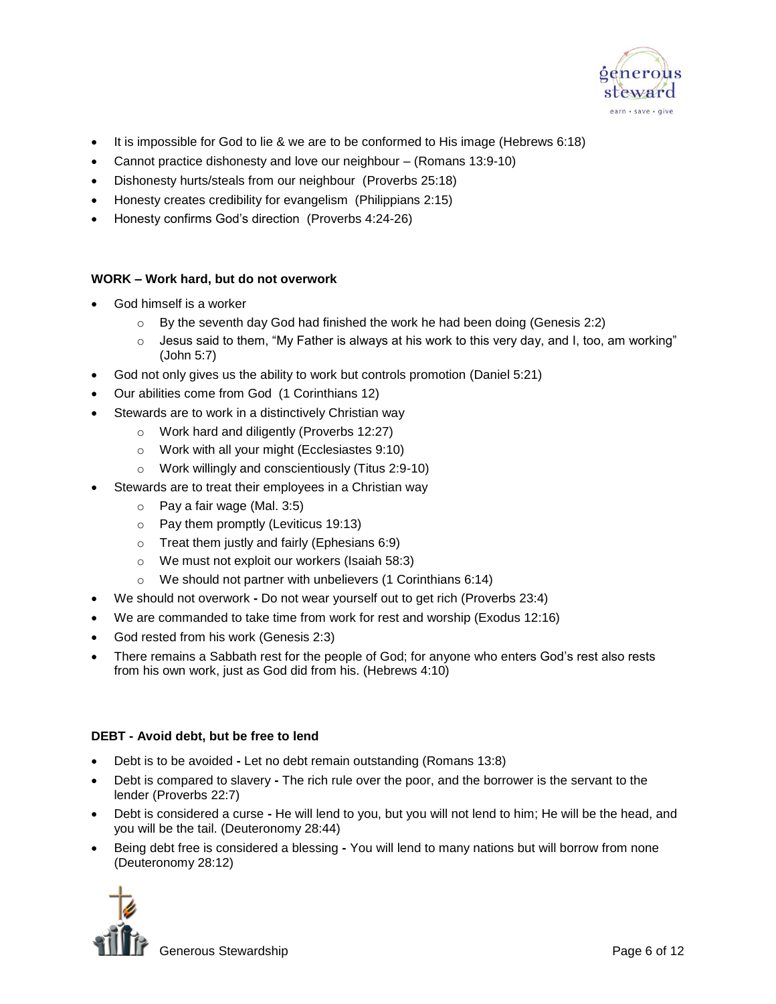

- It is impossible for God to lie & we are to be conformed to His image (Hebrews 6:18)
- Cannot practice dishonesty and love our neighbour (Romans 13:9-10)
- Dishonesty hurts/steals from our neighbour (Proverbs 25:18)
- Honesty creates credibility for evangelism (Philippians 2:15)
- Honesty confirms God's direction (Proverbs 4:24-26)

# **WORK – Work hard, but do not overwork**

- God himself is a worker
	- $\circ$  By the seventh day God had finished the work he had been doing (Genesis 2:2)
	- $\circ$  Jesus said to them, "My Father is always at his work to this very day, and I, too, am working" (John 5:7)
- God not only gives us the ability to work but controls promotion (Daniel 5:21)
- Our abilities come from God (1 Corinthians 12)
- Stewards are to work in a distinctively Christian way
	- o Work hard and diligently (Proverbs 12:27)
		- o Work with all your might (Ecclesiastes 9:10)
		- o Work willingly and conscientiously (Titus 2:9-10)
- Stewards are to treat their employees in a Christian way
	- o Pay a fair wage (Mal. 3:5)
	- o Pay them promptly (Leviticus 19:13)
	- o Treat them justly and fairly (Ephesians 6:9)
	- o We must not exploit our workers (Isaiah 58:3)
	- o We should not partner with unbelievers (1 Corinthians 6:14)
- We should not overwork **-** Do not wear yourself out to get rich (Proverbs 23:4)
- We are commanded to take time from work for rest and worship (Exodus 12:16)
- God rested from his work (Genesis 2:3)
- There remains a Sabbath rest for the people of God; for anyone who enters God's rest also rests from his own work, just as God did from his. (Hebrews 4:10)

#### **DEBT - Avoid debt, but be free to lend**

- Debt is to be avoided **-** Let no debt remain outstanding (Romans 13:8)
- Debt is compared to slavery **-** The rich rule over the poor, and the borrower is the servant to the lender (Proverbs 22:7)
- Debt is considered a curse **-** He will lend to you, but you will not lend to him; He will be the head, and you will be the tail. (Deuteronomy 28:44)
- Being debt free is considered a blessing **-** You will lend to many nations but will borrow from none (Deuteronomy 28:12)

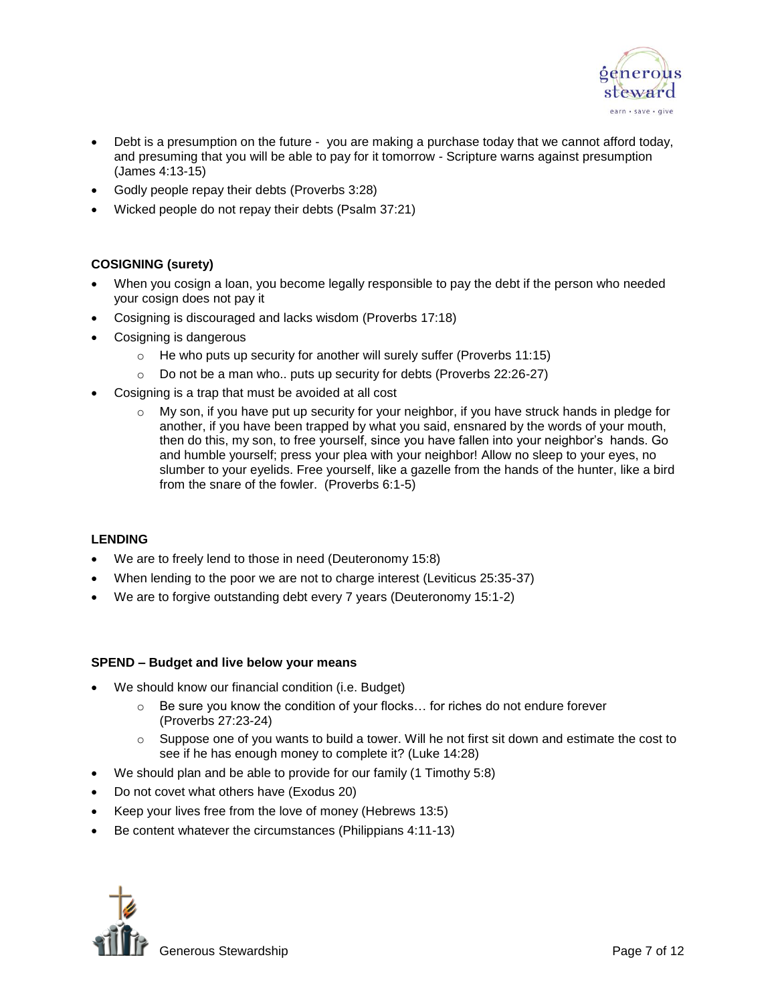

- Debt is a presumption on the future you are making a purchase today that we cannot afford today, and presuming that you will be able to pay for it tomorrow - Scripture warns against presumption (James 4:13-15)
- Godly people repay their debts (Proverbs 3:28)
- Wicked people do not repay their debts (Psalm 37:21)

# **COSIGNING (surety)**

- When you cosign a loan, you become legally responsible to pay the debt if the person who needed your cosign does not pay it
- Cosigning is discouraged and lacks wisdom (Proverbs 17:18)
- Cosigning is dangerous
	- o He who puts up security for another will surely suffer (Proverbs 11:15)
	- o Do not be a man who.. puts up security for debts (Proverbs 22:26-27)
- Cosigning is a trap that must be avoided at all cost
	- $\circ$  My son, if you have put up security for your neighbor, if you have struck hands in pledge for another, if you have been trapped by what you said, ensnared by the words of your mouth, then do this, my son, to free yourself, since you have fallen into your neighbor's hands. Go and humble yourself; press your plea with your neighbor! Allow no sleep to your eyes, no slumber to your eyelids. Free yourself, like a gazelle from the hands of the hunter, like a bird from the snare of the fowler. (Proverbs 6:1-5)

# **LENDING**

- We are to freely lend to those in need (Deuteronomy 15:8)
- When lending to the poor we are not to charge interest (Leviticus 25:35-37)
- We are to forgive outstanding debt every 7 years (Deuteronomy 15:1-2)

# **SPEND – Budget and live below your means**

- We should know our financial condition (i.e. Budget)
	- $\circ$  Be sure you know the condition of your flocks... for riches do not endure forever (Proverbs 27:23-24)
	- $\circ$  Suppose one of you wants to build a tower. Will he not first sit down and estimate the cost to see if he has enough money to complete it? (Luke 14:28)
- We should plan and be able to provide for our family (1 Timothy 5:8)
- Do not covet what others have (Exodus 20)
- Keep your lives free from the love of money (Hebrews 13:5)
- Be content whatever the circumstances (Philippians 4:11-13)

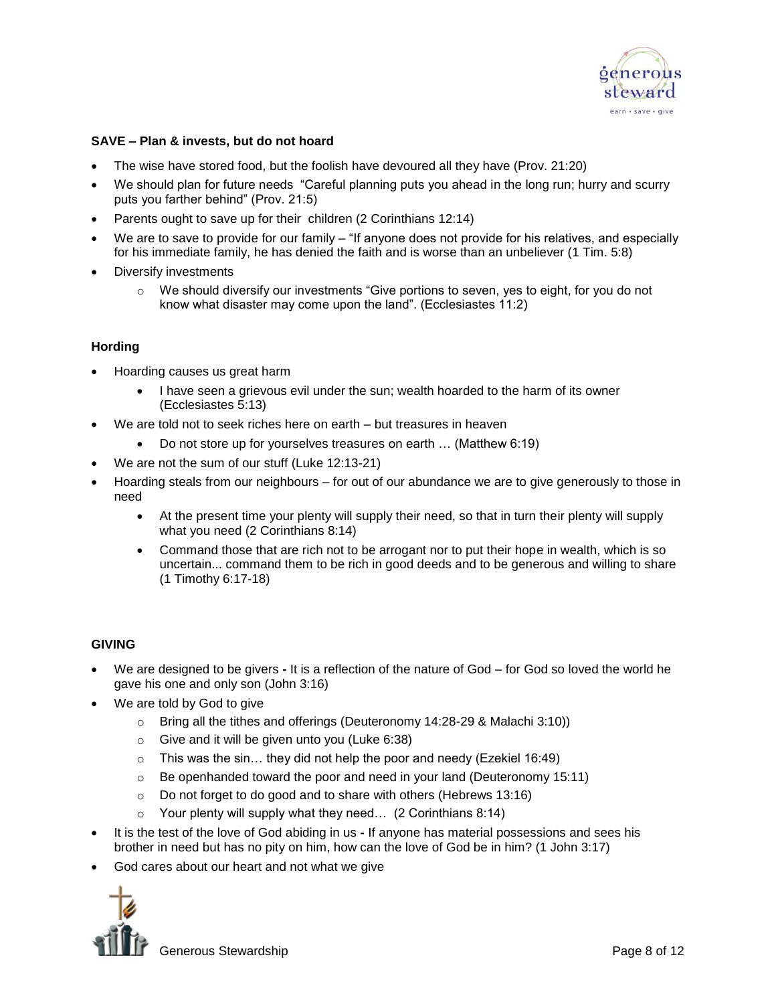

#### **SAVE – Plan & invests, but do not hoard**

- The wise have stored food, but the foolish have devoured all they have (Prov. 21:20)
- We should plan for future needs "Careful planning puts you ahead in the long run; hurry and scurry puts you farther behind" (Prov. 21:5)
- Parents ought to save up for their children (2 Corinthians 12:14)
- We are to save to provide for our family "If anyone does not provide for his relatives, and especially for his immediate family, he has denied the faith and is worse than an unbeliever (1 Tim. 5:8)
- Diversify investments
	- $\circ$  We should diversify our investments "Give portions to seven, yes to eight, for you do not know what disaster may come upon the land". (Ecclesiastes 11:2)

#### **Hording**

- Hoarding causes us great harm
	- I have seen a grievous evil under the sun; wealth hoarded to the harm of its owner (Ecclesiastes 5:13)
- We are told not to seek riches here on earth but treasures in heaven
	- Do not store up for yourselves treasures on earth ... (Matthew 6:19)
- We are not the sum of our stuff (Luke 12:13-21)
- Hoarding steals from our neighbours for out of our abundance we are to give generously to those in need
	- At the present time your plenty will supply their need, so that in turn their plenty will supply what you need (2 Corinthians 8:14)
	- Command those that are rich not to be arrogant nor to put their hope in wealth, which is so uncertain... command them to be rich in good deeds and to be generous and willing to share (1 Timothy 6:17-18)

# **GIVING**

- We are designed to be givers **-** It is a reflection of the nature of God for God so loved the world he gave his one and only son (John 3:16)
- We are told by God to give
	- o Bring all the tithes and offerings (Deuteronomy 14:28-29 & Malachi 3:10))
	- o Give and it will be given unto you (Luke 6:38)
	- $\circ$  This was the sin... they did not help the poor and needy (Ezekiel 16:49)
	- $\circ$  Be openhanded toward the poor and need in your land (Deuteronomy 15:11)
	- o Do not forget to do good and to share with others (Hebrews 13:16)
	- $\circ$  Your plenty will supply what they need... (2 Corinthians 8:14)
- It is the test of the love of God abiding in us **-** If anyone has material possessions and sees his brother in need but has no pity on him, how can the love of God be in him? (1 John 3:17)
- God cares about our heart and not what we give

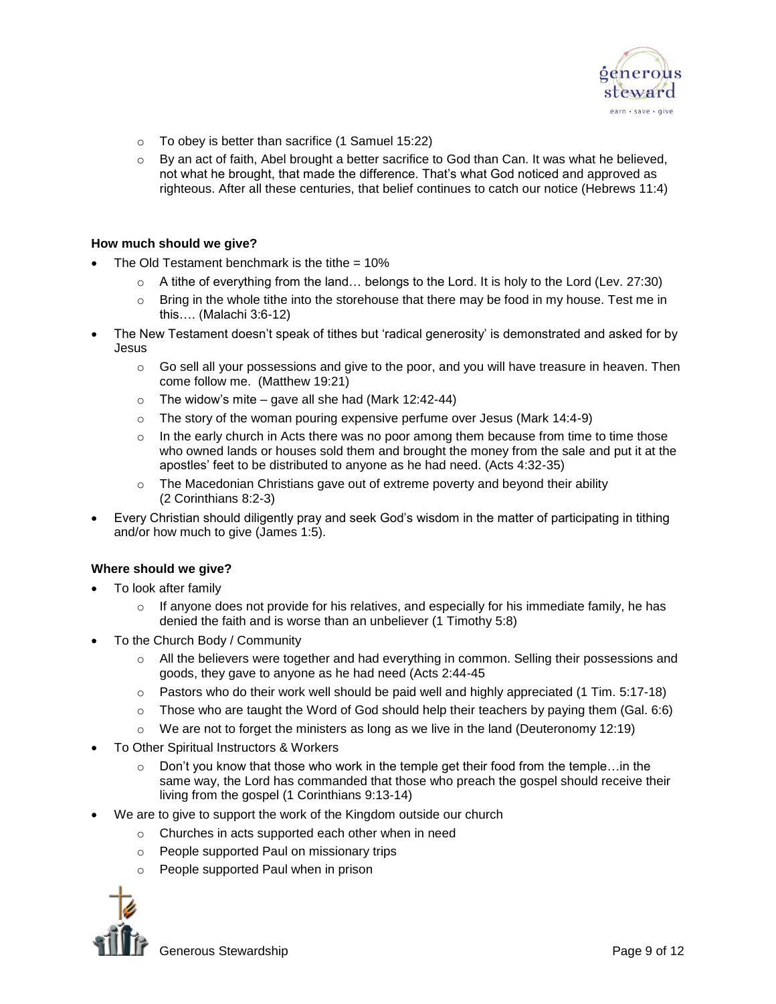

- $\circ$  To obey is better than sacrifice (1 Samuel 15:22)
- $\circ$  By an act of faith, Abel brought a better sacrifice to God than Can. It was what he believed, not what he brought, that made the difference. That's what God noticed and approved as righteous. After all these centuries, that belief continues to catch our notice (Hebrews 11:4)

#### **How much should we give?**

- The Old Testament benchmark is the tithe  $= 10\%$ 
	- $\circ$  A tithe of everything from the land... belongs to the Lord. It is holy to the Lord (Lev. 27:30)
	- o Bring in the whole tithe into the storehouse that there may be food in my house. Test me in this…. (Malachi 3:6-12)
- The New Testament doesn't speak of tithes but 'radical generosity' is demonstrated and asked for by Jesus
	- $\circ$  Go sell all your possessions and give to the poor, and you will have treasure in heaven. Then come follow me. (Matthew 19:21)
	- $\circ$  The widow's mite gave all she had (Mark 12:42-44)
	- $\circ$  The story of the woman pouring expensive perfume over Jesus (Mark 14:4-9)
	- $\circ$  In the early church in Acts there was no poor among them because from time to time those who owned lands or houses sold them and brought the money from the sale and put it at the apostles' feet to be distributed to anyone as he had need. (Acts 4:32-35)
	- $\circ$  The Macedonian Christians gave out of extreme poverty and beyond their ability (2 Corinthians 8:2-3)
- Every Christian should diligently pray and seek God's wisdom in the matter of participating in tithing and/or how much to give (James 1:5).

# **Where should we give?**

- To look after family
	- $\circ$  If anyone does not provide for his relatives, and especially for his immediate family, he has denied the faith and is worse than an unbeliever (1 Timothy 5:8)
- To the Church Body / Community
	- o All the believers were together and had everything in common. Selling their possessions and goods, they gave to anyone as he had need (Acts 2:44-45
	- $\circ$  Pastors who do their work well should be paid well and highly appreciated (1 Tim. 5:17-18)
	- $\circ$  Those who are taught the Word of God should help their teachers by paying them (Gal. 6:6)
	- $\circ$  We are not to forget the ministers as long as we live in the land (Deuteronomy 12:19)
- To Other Spiritual Instructors & Workers
	- $\circ$  Don't you know that those who work in the temple get their food from the temple... in the same way, the Lord has commanded that those who preach the gospel should receive their living from the gospel (1 Corinthians 9:13-14)
- We are to give to support the work of the Kingdom outside our church
	- o Churches in acts supported each other when in need
	- o People supported Paul on missionary trips
	- o People supported Paul when in prison

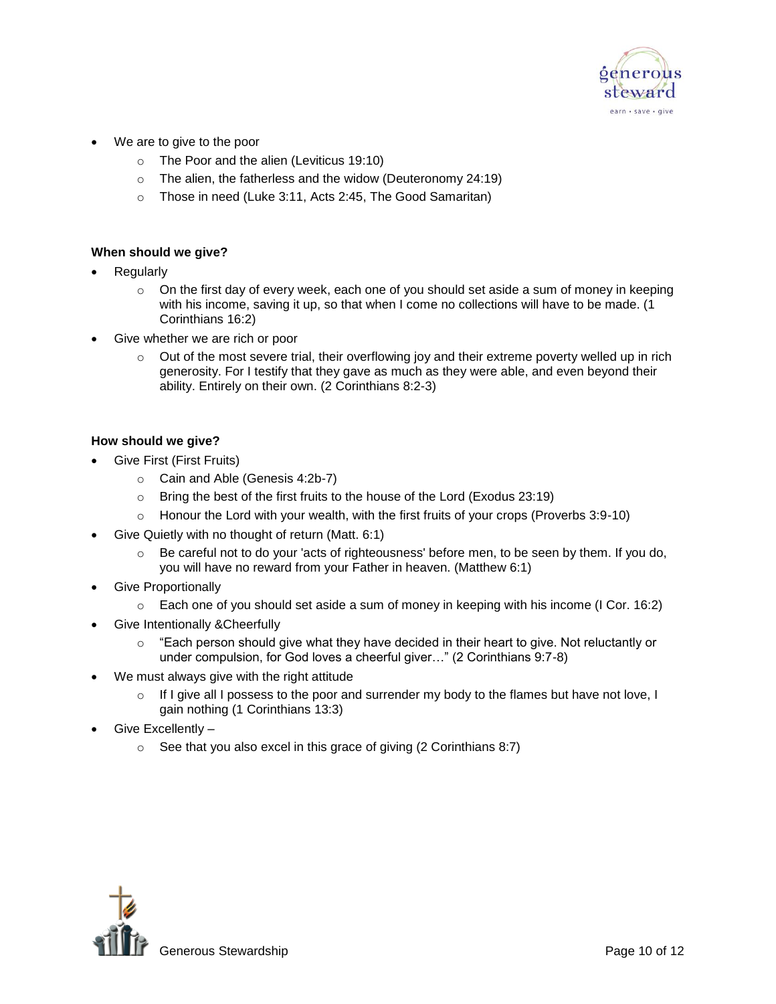

- We are to give to the poor
	- o The Poor and the alien (Leviticus 19:10)
	- o The alien, the fatherless and the widow (Deuteronomy 24:19)
	- o Those in need (Luke 3:11, Acts 2:45, The Good Samaritan)

### **When should we give?**

- Regularly
	- $\circ$  On the first day of every week, each one of you should set aside a sum of money in keeping with his income, saving it up, so that when I come no collections will have to be made. (1 Corinthians 16:2)
- Give whether we are rich or poor
	- $\circ$  Out of the most severe trial, their overflowing joy and their extreme poverty welled up in rich generosity. For I testify that they gave as much as they were able, and even beyond their ability. Entirely on their own. (2 Corinthians 8:2-3)

#### **How should we give?**

- Give First (First Fruits)
	- o Cain and Able (Genesis 4:2b-7)
	- o Bring the best of the first fruits to the house of the Lord (Exodus 23:19)
	- $\circ$  Honour the Lord with your wealth, with the first fruits of your crops (Proverbs 3:9-10)
- Give Quietly with no thought of return (Matt. 6:1)
	- $\circ$  Be careful not to do your 'acts of righteousness' before men, to be seen by them. If you do, you will have no reward from your Father in heaven. (Matthew 6:1)
- Give Proportionally
	- o Each one of you should set aside a sum of money in keeping with his income (I Cor. 16:2)
- Give Intentionally &Cheerfully
	- $\circ$  "Each person should give what they have decided in their heart to give. Not reluctantly or under compulsion, for God loves a cheerful giver…" (2 Corinthians 9:7-8)
- We must always give with the right attitude
	- $\circ$  If I give all I possess to the poor and surrender my body to the flames but have not love, I gain nothing (1 Corinthians 13:3)
- Give Excellently
	- $\circ$  See that you also excel in this grace of giving (2 Corinthians 8:7)

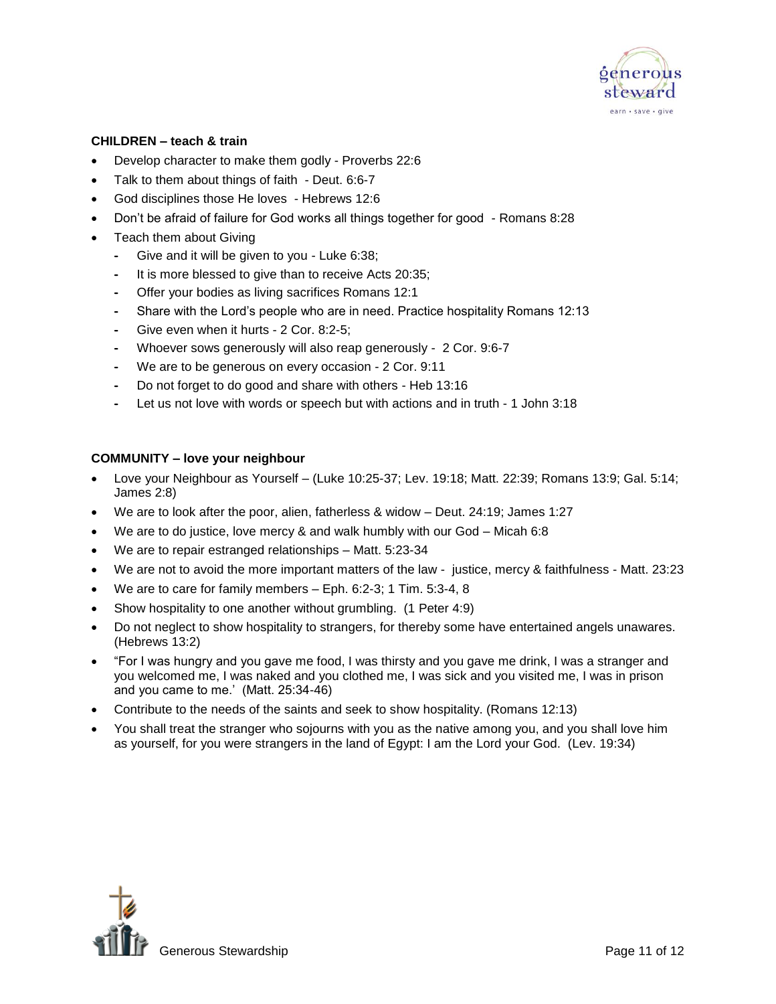

#### **CHILDREN – teach & train**

- Develop character to make them godly Proverbs 22:6
- Talk to them about things of faith Deut. 6:6-7
- God disciplines those He loves Hebrews 12:6
- Don't be afraid of failure for God works all things together for good Romans 8:28
- Teach them about Giving
	- **-** Give and it will be given to you Luke 6:38;
	- **-** It is more blessed to give than to receive Acts 20:35;
	- **-** Offer your bodies as living sacrifices Romans 12:1
	- **-** Share with the Lord's people who are in need. Practice hospitality Romans 12:13
	- **-** Give even when it hurts 2 Cor. 8:2-5;
	- **-** Whoever sows generously will also reap generously 2 Cor. 9:6-7
	- **-** We are to be generous on every occasion 2 Cor. 9:11
	- **-** Do not forget to do good and share with others Heb 13:16
	- Let us not love with words or speech but with actions and in truth 1 John 3:18

#### **COMMUNITY – love your neighbour**

- Love your Neighbour as Yourself (Luke 10:25-37; Lev. 19:18; Matt. 22:39; Romans 13:9; Gal. 5:14; James 2:8)
- We are to look after the poor, alien, fatherless & widow Deut. 24:19; James 1:27
- We are to do justice, love mercy & and walk humbly with our God Micah 6:8
- We are to repair estranged relationships Matt. 5:23-34
- We are not to avoid the more important matters of the law justice, mercy & faithfulness Matt. 23:23
- We are to care for family members Eph. 6:2-3; 1 Tim. 5:3-4, 8
- Show hospitality to one another without grumbling. (1 Peter 4:9)
- Do not neglect to show hospitality to strangers, for thereby some have entertained angels unawares. (Hebrews 13:2)
- "For I was hungry and you gave me food, I was thirsty and you gave me drink, I was a stranger and you welcomed me, I was naked and you clothed me, I was sick and you visited me, I was in prison and you came to me.' (Matt. 25:34-46)
- Contribute to the needs of the saints and seek to show hospitality. (Romans 12:13)
- You shall treat the stranger who sojourns with you as the native among you, and you shall love him as yourself, for you were strangers in the land of Egypt: I am the Lord your God. (Lev. 19:34)